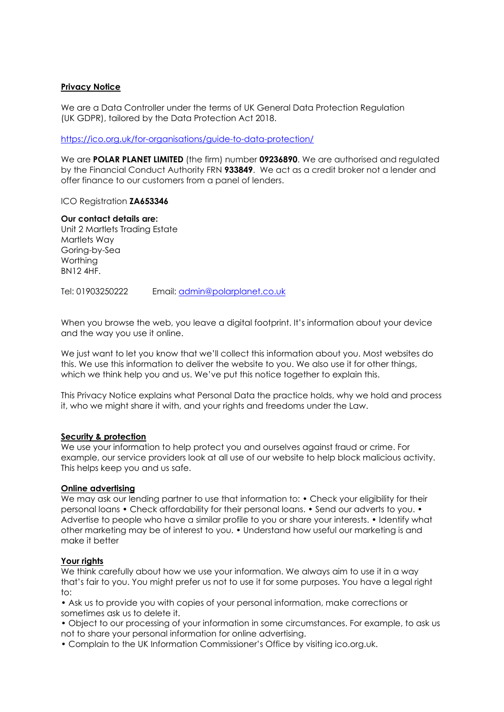## **Privacy Notice**

We are a Data Controller under the terms of UK General Data Protection Regulation (UK GDPR), tailored by the Data Protection Act 2018.

<https://ico.org.uk/for-organisations/guide-to-data-protection/>

We are **POLAR PLANET LIMITED** (the firm) number **09236890**. We are authorised and regulated by the Financial Conduct Authority FRN **933849**. We act as a credit broker not a lender and offer finance to our customers from a panel of lenders.

ICO Registration **ZA653346**

**Our contact details are:** Unit 2 Martlets Trading Estate Martlets Way Goring-by-Sea Worthing BN12 4HF.

Tel: 01903250222 Email: [admin@polarplanet.co.uk](mailto:admin@polarplanet.co.uk)

When you browse the web, you leave a digital footprint. It's information about your device and the way you use it online.

We just want to let you know that we'll collect this information about you. Most websites do this. We use this information to deliver the website to you. We also use it for other things, which we think help you and us. We've put this notice together to explain this.

This Privacy Notice explains what Personal Data the practice holds, why we hold and process it, who we might share it with, and your rights and freedoms under the Law.

#### **Security & protection**

We use your information to help protect you and ourselves against fraud or crime. For example, our service providers look at all use of our website to help block malicious activity. This helps keep you and us safe.

### **Online advertising**

We may ask our lending partner to use that information to: • Check your eligibility for their personal loans • Check affordability for their personal loans. • Send our adverts to you. • Advertise to people who have a similar profile to you or share your interests. • Identify what other marketing may be of interest to you. • Understand how useful our marketing is and make it better

### **Your rights**

We think carefully about how we use your information. We always aim to use it in a way that's fair to you. You might prefer us not to use it for some purposes. You have a legal right to:

• Ask us to provide you with copies of your personal information, make corrections or sometimes ask us to delete it.

• Object to our processing of your information in some circumstances. For example, to ask us not to share your personal information for online advertising.

• Complain to the UK Information Commissioner's Office by visiting ico.org.uk.